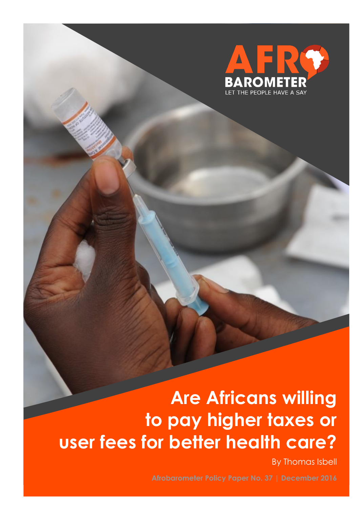

# **Are Africans willing to pay higher taxes or user fees for better health care?**

By Thomas Isbell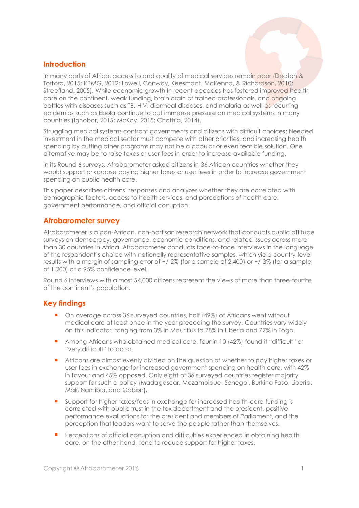### **Introduction**

In many parts of Africa, access to and quality of medical services remain poor (Deaton & Tortora, 2015; KPMG, 2012; Lowell, Conway, Keesmaat, McKenna, & Richardson, 2010; Streefland, 2005). While economic growth in recent decades has fostered improved health care on the continent, weak funding, brain drain of trained professionals, and ongoing battles with diseases such as TB, HIV, diarrheal diseases, and malaria as well as recurring epidemics such as Ebola continue to put immense pressure on medical systems in many countries (Ighobor, 2015; McKay, 2015; Chothia, 2014).

Struggling medical systems confront governments and citizens with difficult choices: Needed investment in the medical sector must compete with other priorities, and increasing health spending by cutting other programs may not be a popular or even feasible solution. One alternative may be to raise taxes or user fees in order to increase available funding.

In its Round 6 surveys, Afrobarometer asked citizens in 36 African countries whether they would support or oppose paying higher taxes or user fees in order to increase government spending on public health care.

This paper describes citizens' responses and analyzes whether they are correlated with demographic factors, access to health services, and perceptions of health care, government performance, and official corruption.

#### **Afrobarometer survey**

Afrobarometer is a pan-African, non-partisan research network that conducts public attitude surveys on democracy, governance, economic conditions, and related issues across more than 30 countries in Africa. Afrobarometer conducts face-to-face interviews in the language of the respondent's choice with nationally representative samples, which yield country-level results with a margin of sampling error of +/-2% (for a sample of 2,400) or +/-3% (for a sample of 1,200) at a 95% confidence level.

Round 6 interviews with almost 54,000 citizens represent the views of more than three-fourths of the continent's population.

#### **Key findings**

- On average across 36 surveyed countries, half (49%) of Africans went without medical care at least once in the year preceding the survey. Countries vary widely on this indicator, ranging from 3% in Mauritius to 78% in Liberia and 77% in Togo.
- Among Africans who obtained medical care, four in 10 (42%) found it "difficult" or "very difficult" to do so.
- **•** Africans are almost evenly divided on the question of whether to pay higher taxes or user fees in exchange for increased government spending on health care, with 42% in favour and 45% opposed. Only eight of 36 surveyed countries register majority support for such a policy (Madagascar, Mozambique, Senegal, Burkina Faso, Liberia, Mali, Namibia, and Gabon).
- Support for higher taxes/fees in exchange for increased health-care funding is correlated with public trust in the tax department and the president, positive performance evaluations for the president and members of Parliament, and the perception that leaders want to serve the people rather than themselves.
- **Perceptions of official corruption and difficulties experienced in obtaining health** care, on the other hand, tend to reduce support for higher taxes.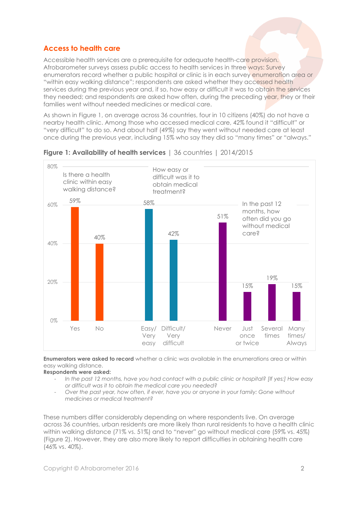## **Access to health care**

Accessible health services are a prerequisite for adequate health-care provision. Afrobarometer surveys assess public access to health services in three ways: Survey enumerators record whether a public hospital or clinic is in each survey enumeration area or "within easy walking distance"; respondents are asked whether they accessed health services during the previous year and, if so, how easy or difficult it was to obtain the services they needed; and respondents are asked how often, during the preceding year, they or their families went without needed medicines or medical care.

As shown in Figure 1, on average across 36 countries, four in 10 citizens (40%) do not have a nearby health clinic. Among those who accessed medical care, 42% found it "difficult" or "very difficult" to do so. And about half (49%) say they went without needed care at least once during the previous year, including 15% who say they did so "many times" or "always."



**Figure 1: Availability of health services** | 36 countries | 2014/2015

**Enumerators were asked to record** whether a clinic was available in the enumerations area or within easy walking distance.

**Respondents were asked:** 

- *In the past 12 months, have you had contact with a public clinic or hospital? [If yes:] How easy or difficult was it to obtain the medical care you needed?*
- *Over the past year, how often, if ever, have you or anyone in your family: Gone without medicines or medical treatment?*

These numbers differ considerably depending on where respondents live. On average across 36 countries, urban residents are more likely than rural residents to have a health clinic within walking distance (71% vs. 51%) and to "never" go without medical care (59% vs. 45%) (Figure 2). However, they are also more likely to report difficulties in obtaining health care (46% vs. 40%).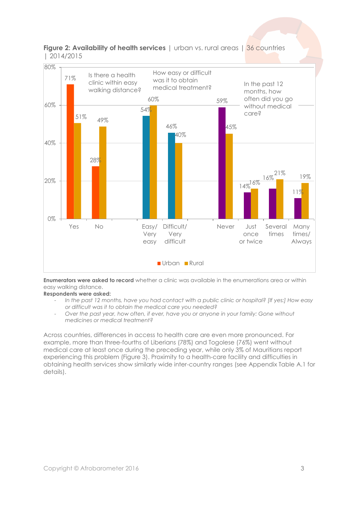



**Enumerators were asked to record** whether a clinic was available in the enumerations area or within easy walking distance.

**Respondents were asked:** 

- *In the past 12 months, have you had contact with a public clinic or hospital? [If yes:] How easy or difficult was it to obtain the medical care you needed?*
- *Over the past year, how often, if ever, have you or anyone in your family: Gone without medicines or medical treatment?*

Across countries, differences in access to health care are even more pronounced. For example, more than three-fourths of Liberians (78%) and Togolese (76%) went without medical care at least once during the preceding year, while only 3% of Mauritians report experiencing this problem (Figure 3). Proximity to a health-care facility and difficulties in obtaining health services show similarly wide inter-country ranges (see Appendix Table A.1 for details).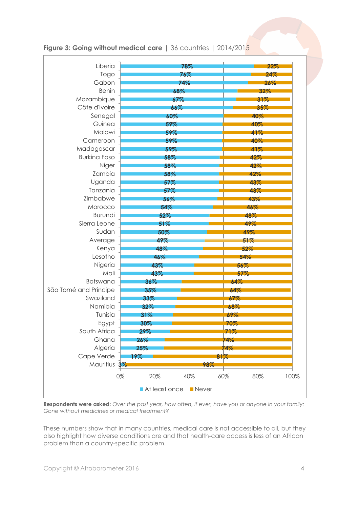

### **Figure 3: Going without medical care** | 36 countries | 2014/2015

**Respondents were asked:** *Over the past year, how often, if ever, have you or anyone in your family: Gone without medicines or medical treatment?*

These numbers show that in many countries, medical care is not accessible to all, but they also highlight how diverse conditions are and that health-care access is less of an African problem than a country-specific problem.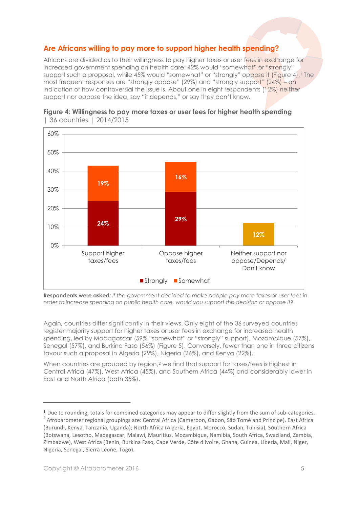## **Are Africans willing to pay more to support higher health spending?**

Africans are divided as to their willingness to pay higher taxes or user fees in exchange for increased government spending on health care: 42% would "somewhat" or "strongly" support such a proposal, while 45% would "somewhat" or "strongly" oppose it (Figure 4).<sup>1</sup> The most frequent responses are "strongly oppose" (29%) and "strongly support" (24%) – an indication of how controversial the issue is. About one in eight respondents (12%) neither support nor oppose the idea, say "it depends," or say they don't know.





**Respondents were asked**: *If the government decided to make people pay more taxes or user fees in order to increase spending on public health care, would you support this decision or oppose it?*

Again, countries differ significantly in their views. Only eight of the 36 surveyed countries register majority support for higher taxes or user fees in exchange for increased health spending, led by Madagascar (59% "somewhat" or "strongly" support), Mozambique (57%), Senegal (57%), and Burkina Faso (56%) (Figure 5). Conversely, fewer than one in three citizens favour such a proposal in Algeria (29%), Nigeria (26%), and Kenya (22%).

When countries are grouped by region,<sup>2</sup> we find that support for taxes/fees is highest in Central Africa (47%), West Africa (45%), and Southern Africa (44%) and considerably lower in East and North Africa (both 35%).

 $\overline{a}$ 

<sup>&</sup>lt;sup>1</sup> Due to rounding, totals for combined categories may appear to differ slightly from the sum of sub-categories.

 $^{2}$  Afrobarometer regional groupings are: Central Africa (Cameroon, Gabon, São Tomé and Principe), East Africa (Burundi, Kenya, Tanzania, Uganda); North Africa (Algeria, Egypt, Morocco, Sudan, Tunisia), Southern Africa (Botswana, Lesotho, Madagascar, Malawi, Mauritius, Mozambique, Namibia, South Africa, Swaziland, Zambia, Zimbabwe), West Africa (Benin, Burkina Faso, Cape Verde, Côte d'Ivoire, Ghana, Guinea, Liberia, Mali, Niger, Nigeria, Senegal, Sierra Leone, Togo).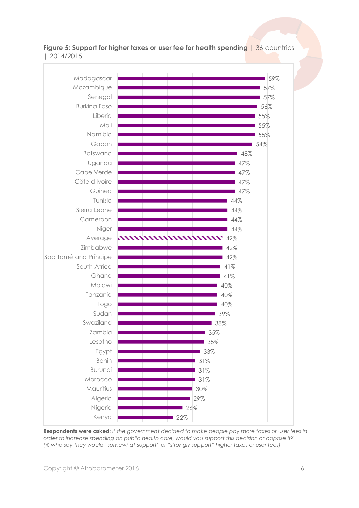

**Figure 5: Support for higher taxes or user fee for health spending** | 36 countries | 2014/2015

**Respondents were asked**: *If the government decided to make people pay more taxes or user fees in order to increase spending on public health care, would you support this decision or oppose it? (% who say they would "somewhat support" or "strongly support" higher taxes or user fees)*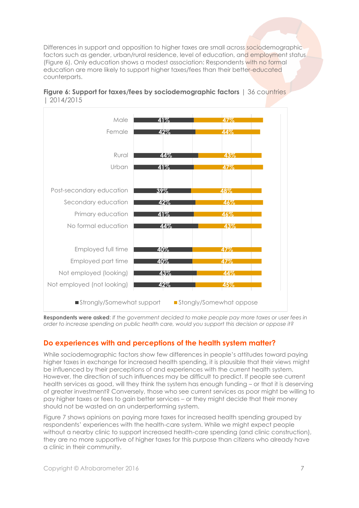Differences in support and opposition to higher taxes are small across sociodemographic factors such as gender, urban/rural residence, level of education, and employment status (Figure 6). Only education shows a modest association: Respondents with no formal education are more likely to support higher taxes/fees than their better-educated counterparts.





**Respondents were asked**: *If the government decided to make people pay more taxes or user fees in order to increase spending on public health care, would you support this decision or oppose it?*

## **Do experiences with and perceptions of the health system matter?**

While sociodemographic factors show few differences in people's attitudes toward paying higher taxes in exchange for increased health spending, it is plausible that their views might be influenced by their perceptions of and experiences with the current health system. However, the direction of such influences may be difficult to predict. If people see current health services as good, will they think the system has enough funding – or that it is deserving of greater investment? Conversely, those who see current services as poor might be willing to pay higher taxes or fees to gain better services – or they might decide that their money should not be wasted on an underperforming system.

Figure 7 shows opinions on paying more taxes for increased health spending grouped by respondents' experiences with the health-care system. While we might expect people without a nearby clinic to support increased health-care spending (and clinic construction), they are no more supportive of higher taxes for this purpose than citizens who already have a clinic in their community.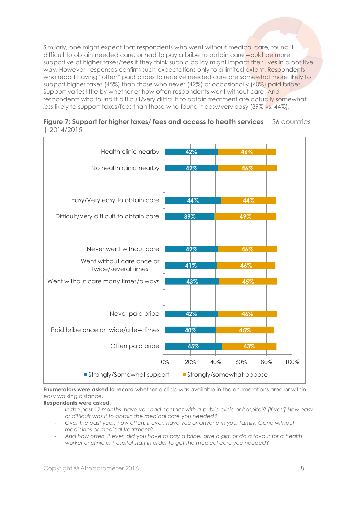Similarly, one might expect that respondents who went without medical care, found it difficult to obtain needed care, or had to pay a bribe to obtain care would be more supportive of higher taxes/fees if they think such a policy might impact their lives in a positive way. However, responses confirm such expectations only to a limited extent. Respondents who report having "often" paid bribes to receive needed care are somewhat more likely to support higher taxes (45%) than those who never (42%) or occasionally (40%) paid bribes. Support varies little by whether or how often respondents went without care. And respondents who found it difficult/very difficult to obtain treatment are actually somewhat *less* likely to support taxes/fees than those who found it easy/very easy (39% vs. 44%).

| Figure 7: Support for higher taxes/ fees and access to health services   36 countries |  |
|---------------------------------------------------------------------------------------|--|
| 2014/2015                                                                             |  |



**Enumerators were asked to record** whether a clinic was available in the enumerations area or within easy walking distance.

**Respondents were asked:** 

- *In the past 12 months, have you had contact with a public clinic or hospital? [If yes:] How easy or difficult was it to obtain the medical care you needed?*
- *Over the past year, how often, if ever, have you or anyone in your family: Gone without medicines or medical treatment?*
- *And how often, if ever, did you have to pay a bribe, give a gift, or do a favour for a health worker or clinic or hospital staff in order to get the medical care you needed?*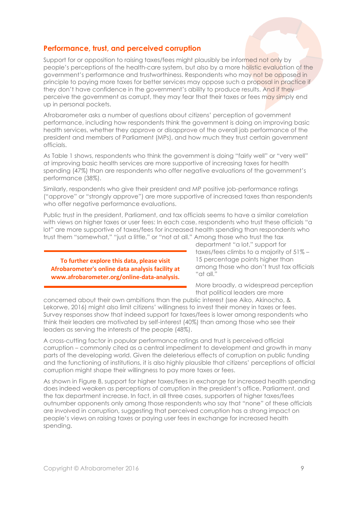#### **Performance, trust, and perceived corruption**

Support for or opposition to raising taxes/fees might plausibly be informed not only by people's perceptions of the health-care system, but also by a more holistic evaluation of the government's performance and trustworthiness. Respondents who may not be opposed in principle to paying more taxes for better services may oppose such a proposal in practice if they don't have confidence in the government's ability to produce results. And if they perceive the government as corrupt, they may fear that their taxes or fees may simply end up in personal pockets.

Afrobarometer asks a number of questions about citizens' perception of government performance, including how respondents think the government is doing on improving basic health services, whether they approve or disapprove of the overall job performance of the president and members of Parliament (MPs), and how much they trust certain government officials.

As Table 1 shows, respondents who think the government is doing "fairly well" or "very well" at improving basic health services are more supportive of increasing taxes for health spending (47%) than are respondents who offer negative evaluations of the government's performance (38%).

Similarly, respondents who give their president and MP positive job-performance ratings ("approve" or "strongly approve") are more supportive of increased taxes than respondents who offer negative performance evaluations.

Public trust in the president, Parliament, and tax officials seems to have a similar correlation with views on higher taxes or user fees: In each case, respondents who trust these officials "a lot" are more supportive of taxes/fees for increased health spending than respondents who trust them "somewhat," "just a little," or "not at all." Among those who trust the tax

**To further explore this data, please visit Afrobarometer's online data analysis facility at www.afrobarometer.org/online-data-analysis.**

department "a lot," support for taxes/fees climbs to a majority of 51% – 15 percentage points higher than among those who don't trust tax officials "at all."

More broadly, a widespread perception that political leaders are more

concerned about their own ambitions than the public interest (see Aiko, Akinocho, & Lekorwe, 2016) might also limit citizens' willingness to invest their money in taxes or fees. Survey responses show that indeed support for taxes/fees is lower among respondents who think their leaders are motivated by self-interest (40%) than among those who see their leaders as serving the interests of the people (48%).

A cross-cutting factor in popular performance ratings and trust is perceived official corruption – commonly cited as a central impediment to development and growth in many parts of the developing world. Given the deleterious effects of corruption on public funding and the functioning of institutions, it is also highly plausible that citizens' perceptions of official corruption might shape their willingness to pay more taxes or fees.

As shown in Figure 8, support for higher taxes/fees in exchange for increased health spending does indeed weaken as perceptions of corruption in the president's office, Parliament, and the tax department increase. In fact, in all three cases, supporters of higher taxes/fees outnumber opponents only among those respondents who say that "none" of these officials are involved in corruption, suggesting that perceived corruption has a strong impact on people's views on raising taxes or paying user fees in exchange for increased health spending.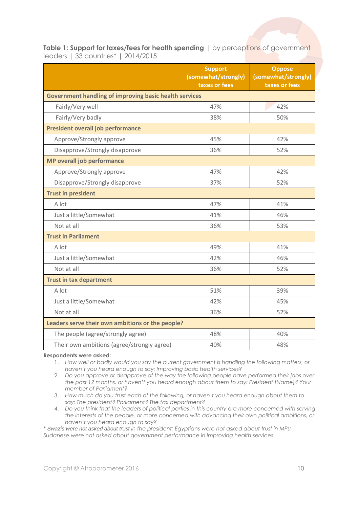**Table 1: Support for taxes/fees for health spending** | by perceptions of government leaders | 33 countries\* | 2014/2015

|                                                        | <b>Support</b><br>(somewhat/strongly)<br>taxes or fees | <b>Oppose</b><br>(somewhat/strongly)<br>taxes or fees |  |
|--------------------------------------------------------|--------------------------------------------------------|-------------------------------------------------------|--|
| Government handling of improving basic health services |                                                        |                                                       |  |
| Fairly/Very well                                       | 47%                                                    | 42%                                                   |  |
| Fairly/Very badly                                      | 38%                                                    | 50%                                                   |  |
| <b>President overall job performance</b>               |                                                        |                                                       |  |
| Approve/Strongly approve                               | 45%                                                    | 42%                                                   |  |
| Disapprove/Strongly disapprove                         | 36%                                                    | 52%                                                   |  |
| <b>MP overall job performance</b>                      |                                                        |                                                       |  |
| Approve/Strongly approve                               | 47%                                                    | 42%                                                   |  |
| Disapprove/Strongly disapprove                         | 37%                                                    | 52%                                                   |  |
| <b>Trust in president</b>                              |                                                        |                                                       |  |
| A lot                                                  | 47%                                                    | 41%                                                   |  |
| Just a little/Somewhat                                 | 41%                                                    | 46%                                                   |  |
| Not at all                                             | 36%                                                    | 53%                                                   |  |
| <b>Trust in Parliament</b>                             |                                                        |                                                       |  |
| A lot                                                  | 49%                                                    | 41%                                                   |  |
| Just a little/Somewhat                                 | 42%                                                    | 46%                                                   |  |
| Not at all                                             | 36%                                                    | 52%                                                   |  |
| <b>Trust in tax department</b>                         |                                                        |                                                       |  |
| A lot                                                  | 51%                                                    | 39%                                                   |  |
| Just a little/Somewhat                                 | 42%                                                    | 45%                                                   |  |
| Not at all                                             | 36%                                                    | 52%                                                   |  |
| Leaders serve their own ambitions or the people?       |                                                        |                                                       |  |
| The people (agree/strongly agree)                      | 48%                                                    | 40%                                                   |  |
| Their own ambitions (agree/strongly agree)             | 40%                                                    | 48%                                                   |  |

**Respondents were asked:**

1. *How well or badly would you say the current government is handling the following matters, or haven't you heard enough to say: Improving basic health services?*

2. *Do you approve or disapprove of the way the following people have performed their jobs over the past 12 months, or haven't you heard enough about them to say: President [Name]? Your member of Parliament?*

3. *How much do you trust each of the following, or haven't you heard enough about them to say: The president? Parliament? The tax department?*

4. *Do you think that the leaders of political parties in this country are more concerned with serving the interests of the people, or more concerned with advancing their own political ambitions, or haven't you heard enough to say?*

*\* Swazis were not asked about trust in the president; Egyptians were not asked about trust in MPs; Sudanese were not asked about government performance in improving health services.*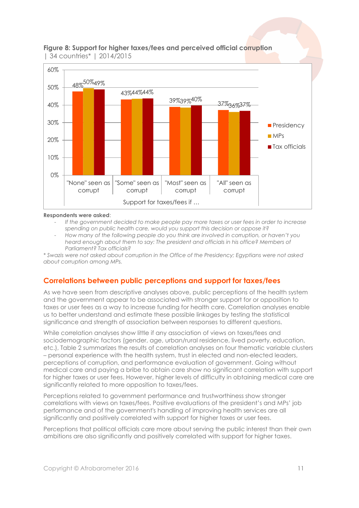

#### **Figure 8: Support for higher taxes/fees and perceived official corruption**  | 34 countries\* | 2014/2015

#### **Respondents were asked**:

- *If the government decided to make people pay more taxes or user fees in order to increase spending on public health care, would you support this decision or oppose it?*
- *How many of the following people do you think are involved in corruption, or haven't you heard enough about them to say: The president and officials in his office? Members of Parliament? Tax officials?*

*\* Swazis were not asked about corruption in the Office of the Presidency; Egyptians were not asked about corruption among MPs.*

### **Correlations between public perceptions and support for taxes/fees**

As we have seen from descriptive analyses above, public perceptions of the health system and the government appear to be associated with stronger support for or opposition to taxes or user fees as a way to increase funding for health care. Correlation analyses enable us to better understand and estimate these possible linkages by testing the statistical significance and strength of association between responses to different questions.

While correlation analyses show little if any association of views on taxes/fees and sociodemographic factors (gender, age, urban/rural residence, lived poverty, education, etc.), Table 2 summarizes the results of correlation analyses on four thematic variable clusters – personal experience with the health system, trust in elected and non-elected leaders, perceptions of corruption, and performance evaluation of government. Going without medical care and paying a bribe to obtain care show no significant correlation with support for higher taxes or user fees. However, higher levels of difficulty in obtaining medical care are significantly related to more opposition to taxes/fees.

Perceptions related to government performance and trustworthiness show stronger correlations with views on taxes/fees. Positive evaluations of the president's and MPs' job performance and of the government's handling of improving health services are all significantly and positively correlated with support for higher taxes or user fees.

Perceptions that political officials care more about serving the public interest than their own ambitions are also significantly and positively correlated with support for higher taxes.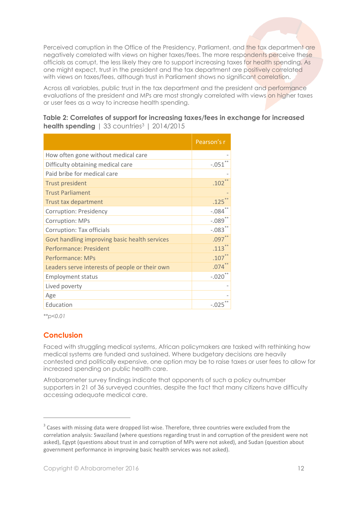Perceived corruption in the Office of the Presidency, Parliament, and the tax department are negatively correlated with views on higher taxes/fees. The more respondents perceive these officials as corrupt, the less likely they are to support increasing taxes for health spending. As one might expect, trust in the president and the tax department are positively correlated with views on taxes/fees, although trust in Parliament shows no significant correlation.

Across all variables, public trust in the tax department and the president and performance evaluations of the president and MPs are most strongly correlated with views on higher taxes or user fees as a way to increase health spending.

|                                                | Pearson's r         |
|------------------------------------------------|---------------------|
| How often gone without medical care            |                     |
| Difficulty obtaining medical care              | $-.051$             |
| Paid bribe for medical care                    |                     |
| <b>Trust president</b>                         | .102                |
| <b>Trust Parliament</b>                        |                     |
| <b>Trust tax department</b>                    | .125                |
| <b>Corruption: Presidency</b>                  | $-.084$             |
| <b>Corruption: MPs</b>                         | $-0.089$            |
| Corruption: Tax officials                      | $-.083$             |
| Govt handling improving basic health services  | $.097$ <sup>*</sup> |
| Performance: President                         | $.113$ <sup>*</sup> |
| <b>Performance: MPs</b>                        | .107                |
| Leaders serve interests of people or their own | .074                |
| <b>Employment status</b>                       | $-.020$             |
| Lived poverty                                  |                     |
| Age                                            |                     |
| Education                                      | $-.025$             |

**Table 2: Correlates of support for increasing taxes/fees in exchange for increased health spending** | 33 countries<sup>3</sup> | 2014/2015

*\*\*p<0.01*

 $\overline{a}$ 

## **Conclusion**

Faced with struggling medical systems, African policymakers are tasked with rethinking how medical systems are funded and sustained. Where budgetary decisions are heavily contested and politically expensive, one option may be to raise taxes or user fees to allow for increased spending on public health care.

Afrobarometer survey findings indicate that opponents of such a policy outnumber supporters in 21 of 36 surveyed countries, despite the fact that many citizens have difficulty accessing adequate medical care.

 $3$  Cases with missing data were dropped list-wise. Therefore, three countries were excluded from the correlation analysis: Swaziland (where questions regarding trust in and corruption of the president were not asked), Egypt (questions about trust in and corruption of MPs were not asked), and Sudan (question about government performance in improving basic health services was not asked).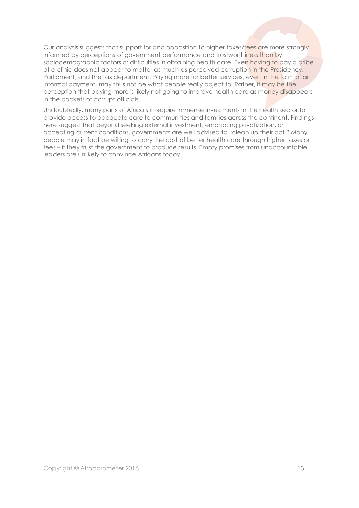Our analysis suggests that support for and opposition to higher taxes/fees are more strongly informed by perceptions of government performance and trustworthiness than by sociodemographic factors or difficulties in obtaining health care. Even having to pay a bribe at a clinic does not appear to matter as much as perceived corruption in the Presidency, Parliament, and the tax department. Paying more for better services, even in the form of an informal payment, may thus not be what people really object to. Rather, it may be the perception that paying more is likely not going to improve health care as money disappears in the pockets of corrupt officials.

Undoubtedly, many parts of Africa still require immense investments in the health sector to provide access to adequate care to communities and families across the continent. Findings here suggest that beyond seeking external investment, embracing privatization, or accepting current conditions, governments are well advised to "clean up their act." Many people may in fact be willing to carry the cost of better health care through higher taxes or fees – if they trust the government to produce results. Empty promises from unaccountable leaders are unlikely to convince Africans today.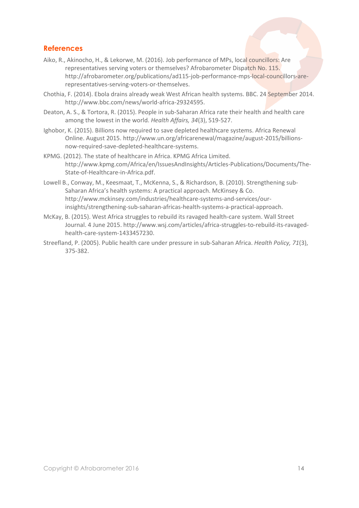## **References**

- Aiko, R., Akinocho, H., & Lekorwe, M. (2016). Job performance of MPs, local councillors: Are representatives serving voters or themselves? Afrobarometer Dispatch No. 115. http://afrobarometer.org/publications/ad115-job-performance-mps-local-councillors-arerepresentatives-serving-voters-or-themselves.
- Chothia, F. (2014). Ebola drains already weak West African health systems. BBC. 24 September 2014. http://www.bbc.com/news/world-africa-29324595.
- Deaton, A. S., & Tortora, R. (2015). People in sub-Saharan Africa rate their health and health care among the lowest in the world. *Health Affairs, 34*(3), 519-527.
- Ighobor, K. (2015). Billions now required to save depleted healthcare systems. Africa Renewal Online. August 2015. http://www.un.org/africarenewal/magazine/august-2015/billionsnow-required-save-depleted-healthcare-systems.
- KPMG. (2012). The state of healthcare in Africa. KPMG Africa Limited. http://www.kpmg.com/Africa/en/IssuesAndInsights/Articles-Publications/Documents/The-State-of-Healthcare-in-Africa.pdf.
- Lowell B., Conway, M., Keesmaat, T., McKenna, S., & Richardson, B. (2010). Strengthening sub-Saharan Africa's health systems: A practical approach. McKinsey & Co. http://www.mckinsey.com/industries/healthcare-systems-and-services/ourinsights/strengthening-sub-saharan-africas-health-systems-a-practical-approach.
- McKay, B. (2015). West Africa struggles to rebuild its ravaged health-care system. Wall Street Journal. 4 June 2015. http://www.wsj.com/articles/africa-struggles-to-rebuild-its-ravagedhealth-care-system-1433457230.
- Streefland, P. (2005). Public health care under pressure in sub-Saharan Africa. *Health Policy, 71*(3), 375-382.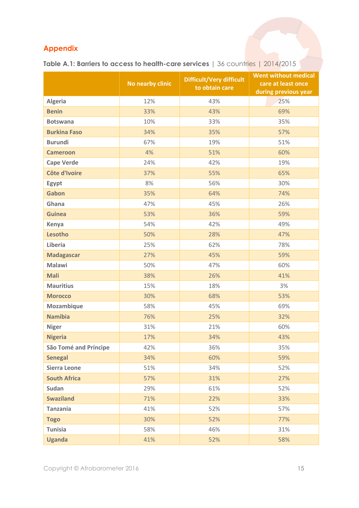## **Appendix**

|                              | No nearby clinic | <b>Difficult/Very difficult</b><br>to obtain care | <b>Went without medical</b><br>care at least once<br>during previous year |
|------------------------------|------------------|---------------------------------------------------|---------------------------------------------------------------------------|
| <b>Algeria</b>               | 12%              | 43%                                               | 25%                                                                       |
| <b>Benin</b>                 | 33%              | 43%                                               | 69%                                                                       |
| <b>Botswana</b>              | 10%              | 33%                                               | 35%                                                                       |
| <b>Burkina Faso</b>          | 34%              | 35%                                               | 57%                                                                       |
| <b>Burundi</b>               | 67%              | 19%                                               | 51%                                                                       |
| <b>Cameroon</b>              | 4%               | 51%                                               | 60%                                                                       |
| <b>Cape Verde</b>            | 24%              | 42%                                               | 19%                                                                       |
| Côte d'Ivoire                | 37%              | 55%                                               | 65%                                                                       |
| Egypt                        | 8%               | 56%                                               | 30%                                                                       |
| Gabon                        | 35%              | 64%                                               | 74%                                                                       |
| Ghana                        | 47%              | 45%                                               | 26%                                                                       |
| <b>Guinea</b>                | 53%              | 36%                                               | 59%                                                                       |
| Kenya                        | 54%              | 42%                                               | 49%                                                                       |
| Lesotho                      | 50%              | 28%                                               | 47%                                                                       |
| Liberia                      | 25%              | 62%                                               | 78%                                                                       |
| <b>Madagascar</b>            | 27%              | 45%                                               | 59%                                                                       |
| <b>Malawi</b>                | 50%              | 47%                                               | 60%                                                                       |
| <b>Mali</b>                  | 38%              | 26%                                               | 41%                                                                       |
| <b>Mauritius</b>             | 15%              | 18%                                               | 3%                                                                        |
| <b>Morocco</b>               | 30%              | 68%                                               | 53%                                                                       |
| Mozambique                   | 58%              | 45%                                               | 69%                                                                       |
| <b>Namibia</b>               | 76%              | 25%                                               | 32%                                                                       |
| <b>Niger</b>                 | 31%              | 21%                                               | 60%                                                                       |
| <b>Nigeria</b>               | 17%              | 34%                                               | 43%                                                                       |
| <b>São Tomé and Príncipe</b> | 42%              | 36%                                               | 35%                                                                       |
| <b>Senegal</b>               | 34%              | 60%                                               | 59%                                                                       |
| <b>Sierra Leone</b>          | 51%              | 34%                                               | 52%                                                                       |
| <b>South Africa</b>          | 57%              | 31%                                               | 27%                                                                       |
| Sudan                        | 29%              | 61%                                               | 52%                                                                       |
| <b>Swaziland</b>             | 71%              | 22%                                               | 33%                                                                       |
| <b>Tanzania</b>              | 41%              | 52%                                               | 57%                                                                       |
| <b>Togo</b>                  | 30%              | 52%                                               | 77%                                                                       |
| <b>Tunisia</b>               | 58%              | 46%                                               | 31%                                                                       |
| <b>Uganda</b>                | 41%              | 52%                                               | 58%                                                                       |

**Table A.1: Barriers to access to health-care services** | 36 countries | 2014/2015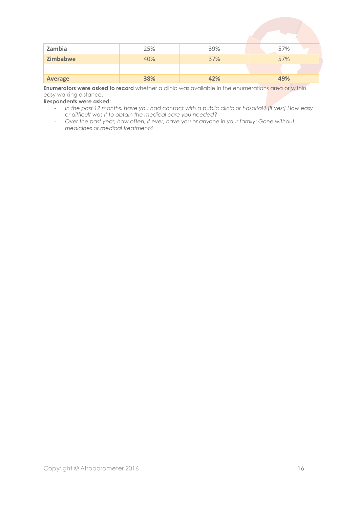| Zambia         | 25% | 39% | 57% |
|----------------|-----|-----|-----|
| Zimbabwe       | 40% | 37% | 57% |
|                |     |     |     |
| <b>Average</b> | 38% | 42% | 49% |

**Enumerators were asked to record** whether a clinic was available in the enumerations area or within easy walking distance.

**Respondents were asked:** 

- *In the past 12 months, have you had contact with a public clinic or hospital? [If yes:] How easy or difficult was it to obtain the medical care you needed?*
- *Over the past year, how often, if ever, have you or anyone in your family: Gone without medicines or medical treatment?*